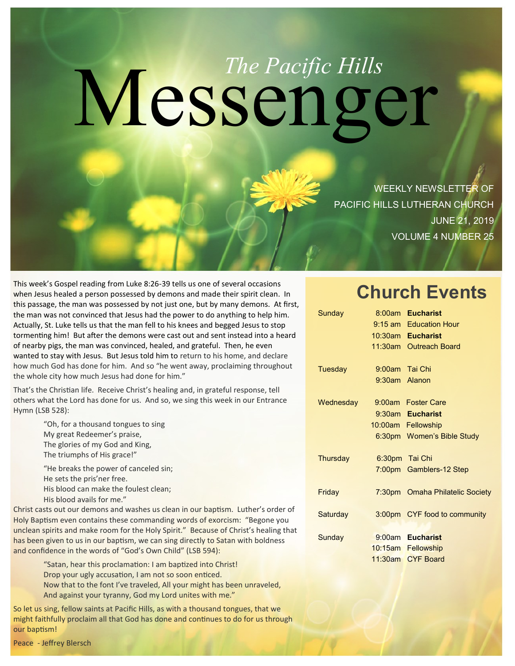# Messenger *The Pacific Hills*

WEEKLY NEWSLETTER OF PACIFIC HILLS LUTHERAN CHURCH JUNE 21, 2019 VOLUME 4 NUMBER 25

This week's Gospel reading from Luke 8:26-39 tells us one of several occasions when Jesus healed a person possessed by demons and made their spirit clean. In this passage, the man was possessed by not just one, but by many demons. At first, the man was not convinced that Jesus had the power to do anything to help him. Actually, St. Luke tells us that the man fell to his knees and begged Jesus to stop tormenting him! But after the demons were cast out and sent instead into a heard of nearby pigs, the man was convinced, healed, and grateful. Then, he even wanted to stay with Jesus. But Jesus told him to return to his home, and declare how much God has done for him. And so "he went away, proclaiming throughout the whole city how much Jesus had done for him."

That's the Christian life. Receive Christ's healing and, in grateful response, tell others what the Lord has done for us. And so, we sing this week in our Entrance Hymn (LSB 528):

> "Oh, for a thousand tongues to sing My great Redeemer's praise, The glories of my God and King, The triumphs of His grace!"

"He breaks the power of canceled sin; He sets the pris'ner free. His blood can make the foulest clean; His blood avails for me."

Christ casts out our demons and washes us clean in our baptism. Luther's order of Holy Baptism even contains these commanding words of exorcism: "Begone you unclean spirits and make room for the Holy Spirit." Because of Christ's healing that has been given to us in our baptism, we can sing directly to Satan with boldness and confidence in the words of "God's Own Child" (LSB 594):

> "Satan, hear this proclamation: I am baptized into Christ! Drop your ugly accusation, I am not so soon enticed. Now that to the font I've traveled, All your might has been unraveled, And against your tyranny, God my Lord unites with me."

So let us sing, fellow saints at Pacific Hills, as with a thousand tongues, that we might faithfully proclaim all that God has done and continues to do for us through our baptism!

# **Church Events**

| Sunday    |                  | 8:00am Eucharist                |
|-----------|------------------|---------------------------------|
|           |                  | 9:15 am Education Hour          |
|           |                  | 10:30am Eucharist               |
|           |                  | 11:30am Outreach Board          |
| Tuesday   | 9:00am Tai Chi   |                                 |
|           | $9:30$ am Alanon |                                 |
| Wednesday |                  | 9:00am Foster Care              |
|           |                  | 9:30am Eucharist                |
|           |                  | 10:00am Fellowship              |
|           |                  | 6:30pm Women's Bible Study      |
| Thursday  |                  | 6:30pm Tai Chi                  |
|           |                  | 7:00pm Gamblers-12 Step         |
| Friday    |                  | 7:30pm Omaha Philatelic Society |
| Saturday  |                  | 3:00pm CYF food to community    |
|           |                  | 9:00am Eucharist                |
| Sunday    |                  |                                 |
|           |                  | 10:15am Fellowship              |
|           |                  | 11:30am CYF Board               |